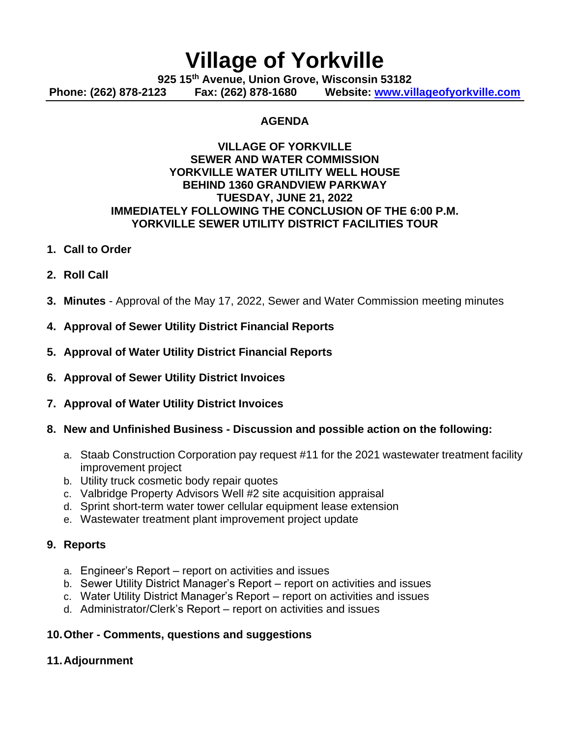# **Village of Yorkville**

**925 15th Avenue, Union Grove, Wisconsin 53182 Phone: (262) 878-2123 Fax: (262) 878-1680 Website: [www.villageofyorkville.com](http://www.villageofyorkville.com/)**

### **AGENDA**

#### **VILLAGE OF YORKVILLE SEWER AND WATER COMMISSION YORKVILLE WATER UTILITY WELL HOUSE BEHIND 1360 GRANDVIEW PARKWAY TUESDAY, JUNE 21, 2022 IMMEDIATELY FOLLOWING THE CONCLUSION OF THE 6:00 P.M. YORKVILLE SEWER UTILITY DISTRICT FACILITIES TOUR**

#### **1. Call to Order**

- **2. Roll Call**
- **3. Minutes** Approval of the May 17, 2022, Sewer and Water Commission meeting minutes
- **4. Approval of Sewer Utility District Financial Reports**
- **5. Approval of Water Utility District Financial Reports**
- **6. Approval of Sewer Utility District Invoices**
- **7. Approval of Water Utility District Invoices**
- **8. New and Unfinished Business - Discussion and possible action on the following:**
	- a. Staab Construction Corporation pay request #11 for the 2021 wastewater treatment facility improvement project
	- b. Utility truck cosmetic body repair quotes
	- c. Valbridge Property Advisors Well #2 site acquisition appraisal
	- d. Sprint short-term water tower cellular equipment lease extension
	- e. Wastewater treatment plant improvement project update

#### **9. Reports**

- a. Engineer's Report report on activities and issues
- b. Sewer Utility District Manager's Report report on activities and issues
- c. Water Utility District Manager's Report report on activities and issues
- d. Administrator/Clerk's Report report on activities and issues

## **10.Other - Comments, questions and suggestions**

#### **11.Adjournment**